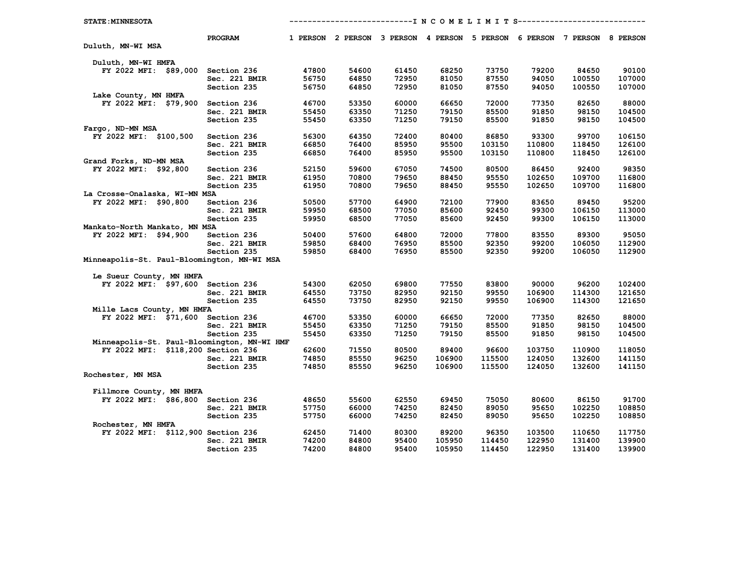| <b>STATE: MINNESOTA</b>                     | ------------------------I N C O M E L I M I T S----------------- |       |                                                                         |       |        |        |        |        |        |  |
|---------------------------------------------|------------------------------------------------------------------|-------|-------------------------------------------------------------------------|-------|--------|--------|--------|--------|--------|--|
|                                             | PROGRAM                                                          |       | 1 PERSON 2 PERSON 3 PERSON 4 PERSON 5 PERSON 6 PERSON 7 PERSON 8 PERSON |       |        |        |        |        |        |  |
| Duluth, MN-WI MSA                           |                                                                  |       |                                                                         |       |        |        |        |        |        |  |
| Duluth, MN-WI HMFA                          |                                                                  |       |                                                                         |       |        |        |        |        |        |  |
| FY 2022 MFI: \$89,000 Section 236           |                                                                  | 47800 | 54600                                                                   | 61450 | 68250  | 73750  | 79200  | 84650  | 90100  |  |
|                                             | Sec. 221 BMIR                                                    | 56750 | 64850                                                                   | 72950 | 81050  | 87550  | 94050  | 100550 | 107000 |  |
|                                             | Section 235                                                      | 56750 | 64850                                                                   | 72950 | 81050  | 87550  | 94050  | 100550 | 107000 |  |
| Lake County, MN HMFA                        |                                                                  |       |                                                                         |       |        |        |        |        |        |  |
| FY 2022 MFI: \$79,900                       | Section 236                                                      | 46700 | 53350                                                                   | 60000 | 66650  | 72000  | 77350  | 82650  | 88000  |  |
|                                             | Sec. 221 BMIR                                                    | 55450 | 63350                                                                   | 71250 | 79150  | 85500  | 91850  | 98150  | 104500 |  |
|                                             | Section 235                                                      | 55450 | 63350                                                                   | 71250 | 79150  | 85500  | 91850  | 98150  | 104500 |  |
| Fargo, ND-MN MSA                            |                                                                  |       |                                                                         |       |        |        |        |        |        |  |
| FY 2022 MFI: \$100,500                      | Section 236                                                      | 56300 | 64350                                                                   | 72400 | 80400  | 86850  | 93300  | 99700  | 106150 |  |
|                                             | Sec. 221 BMIR                                                    | 66850 | 76400                                                                   | 85950 | 95500  | 103150 | 110800 | 118450 | 126100 |  |
|                                             | Section 235                                                      | 66850 | 76400                                                                   | 85950 | 95500  | 103150 | 110800 | 118450 | 126100 |  |
| Grand Forks, ND-MN MSA                      |                                                                  |       |                                                                         |       |        |        |        |        |        |  |
| FY 2022 MFI: \$92,800                       | Section 236                                                      | 52150 | 59600                                                                   | 67050 | 74500  | 80500  | 86450  | 92400  | 98350  |  |
|                                             | Sec. 221 BMIR                                                    | 61950 | 70800                                                                   | 79650 | 88450  | 95550  | 102650 | 109700 | 116800 |  |
|                                             | Section 235                                                      | 61950 | 70800                                                                   | 79650 | 88450  | 95550  | 102650 | 109700 | 116800 |  |
| La Crosse-Onalaska, WI-MN MSA               |                                                                  |       |                                                                         |       |        |        |        |        |        |  |
| FY 2022 MFI: \$90,800                       | Section 236                                                      | 50500 | 57700                                                                   | 64900 | 72100  | 77900  | 83650  | 89450  | 95200  |  |
|                                             | Sec. 221 BMIR                                                    | 59950 | 68500                                                                   | 77050 | 85600  | 92450  | 99300  | 106150 | 113000 |  |
|                                             | Section 235                                                      | 59950 | 68500                                                                   | 77050 | 85600  | 92450  | 99300  | 106150 | 113000 |  |
| Mankato-North Mankato, MN MSA               |                                                                  |       |                                                                         |       |        |        |        |        |        |  |
| FY 2022 MFI: \$94,900                       | Section 236                                                      | 50400 | 57600                                                                   | 64800 | 72000  | 77800  | 83550  | 89300  | 95050  |  |
|                                             | Sec. 221 BMIR                                                    | 59850 | 68400                                                                   | 76950 | 85500  | 92350  | 99200  | 106050 | 112900 |  |
|                                             | Section 235                                                      | 59850 | 68400                                                                   | 76950 | 85500  | 92350  | 99200  | 106050 | 112900 |  |
| Minneapolis-St. Paul-Bloomington, MN-WI MSA |                                                                  |       |                                                                         |       |        |        |        |        |        |  |
| Le Sueur County, MN HMFA                    |                                                                  |       |                                                                         |       |        |        |        |        |        |  |
| FY 2022 MFI: \$97,600 Section 236           |                                                                  | 54300 | 62050                                                                   | 69800 | 77550  | 83800  | 90000  | 96200  | 102400 |  |
|                                             | Sec. 221 BMIR                                                    | 64550 | 73750                                                                   | 82950 | 92150  | 99550  | 106900 | 114300 | 121650 |  |
|                                             | Section 235                                                      | 64550 | 73750                                                                   | 82950 | 92150  | 99550  | 106900 | 114300 | 121650 |  |
| Mille Lacs County, MN HMFA                  |                                                                  |       |                                                                         |       |        |        |        |        |        |  |
| FY 2022 MFI: \$71,600 Section 236           |                                                                  | 46700 | 53350                                                                   | 60000 | 66650  | 72000  | 77350  | 82650  | 88000  |  |
|                                             | Sec. 221 BMIR                                                    | 55450 | 63350                                                                   | 71250 | 79150  | 85500  | 91850  | 98150  | 104500 |  |
|                                             | Section 235                                                      | 55450 | 63350                                                                   | 71250 | 79150  | 85500  | 91850  | 98150  | 104500 |  |
| Minneapolis-St. Paul-Bloomington, MN-WI HMF |                                                                  |       |                                                                         |       |        |        |        |        |        |  |
| FY 2022 MFI: \$118,200 Section 236          |                                                                  | 62600 | 71550                                                                   | 80500 | 89400  | 96600  | 103750 | 110900 | 118050 |  |
|                                             | Sec. 221 BMIR                                                    | 74850 | 85550                                                                   | 96250 | 106900 | 115500 | 124050 | 132600 | 141150 |  |
|                                             | Section 235                                                      | 74850 | 85550                                                                   | 96250 | 106900 | 115500 | 124050 | 132600 | 141150 |  |
| Rochester, MN MSA                           |                                                                  |       |                                                                         |       |        |        |        |        |        |  |
|                                             |                                                                  |       |                                                                         |       |        |        |        |        |        |  |
| Fillmore County, MN HMFA                    |                                                                  |       |                                                                         |       |        |        |        |        |        |  |
| FY 2022 MFI: \$86,800 Section 236           |                                                                  | 48650 | 55600                                                                   | 62550 | 69450  | 75050  | 80600  | 86150  | 91700  |  |
|                                             | Sec. 221 BMIR                                                    | 57750 | 66000                                                                   | 74250 | 82450  | 89050  | 95650  | 102250 | 108850 |  |
|                                             | Section 235                                                      | 57750 | 66000                                                                   | 74250 | 82450  | 89050  | 95650  | 102250 | 108850 |  |
| Rochester, MN HMFA                          |                                                                  |       |                                                                         |       |        |        |        |        |        |  |
| FY 2022 MFI: \$112,900 Section 236          |                                                                  | 62450 | 71400                                                                   | 80300 | 89200  | 96350  | 103500 | 110650 | 117750 |  |
|                                             | Sec. 221 BMIR                                                    | 74200 | 84800                                                                   | 95400 | 105950 | 114450 | 122950 | 131400 | 139900 |  |
|                                             | Section 235                                                      | 74200 | 84800                                                                   | 95400 | 105950 | 114450 | 122950 | 131400 | 139900 |  |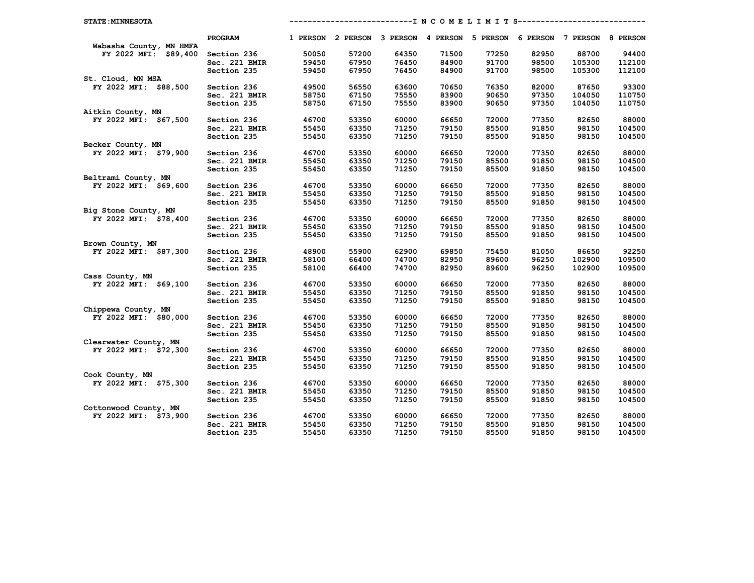| <b>STATE: MINNESOTA</b> |               |       |       |       |       |       | -------------------I N C O M E L I M I T S------------------------      |        |        |
|-------------------------|---------------|-------|-------|-------|-------|-------|-------------------------------------------------------------------------|--------|--------|
|                         | PROGRAM       |       |       |       |       |       | 1 PERSON 2 PERSON 3 PERSON 4 PERSON 5 PERSON 6 PERSON 7 PERSON 8 PERSON |        |        |
| Wabasha County, MN HMFA |               |       |       |       |       |       |                                                                         |        |        |
| FY 2022 MFI: \$89,400   | Section 236   | 50050 | 57200 | 64350 | 71500 | 77250 | 82950                                                                   | 88700  | 94400  |
|                         | Sec. 221 BMIR | 59450 | 67950 | 76450 | 84900 | 91700 | 98500                                                                   | 105300 | 112100 |
|                         | Section 235   | 59450 | 67950 | 76450 | 84900 | 91700 | 98500                                                                   | 105300 | 112100 |
| St. Cloud, MN MSA       |               |       |       |       |       |       |                                                                         |        |        |
| FY 2022 MFI: \$88,500   | Section 236   | 49500 | 56550 | 63600 | 70650 | 76350 | 82000                                                                   | 87650  | 93300  |
|                         | Sec. 221 BMIR | 58750 | 67150 | 75550 | 83900 | 90650 | 97350                                                                   | 104050 | 110750 |
|                         | Section 235   | 58750 | 67150 | 75550 | 83900 | 90650 | 97350                                                                   | 104050 | 110750 |
| Aitkin County, MN       |               |       |       |       |       |       |                                                                         |        |        |
| FY 2022 MFI: \$67,500   | Section 236   | 46700 | 53350 | 60000 | 66650 | 72000 | 77350                                                                   | 82650  | 88000  |
|                         | Sec. 221 BMIR | 55450 | 63350 | 71250 | 79150 | 85500 | 91850                                                                   | 98150  | 104500 |
|                         | Section 235   | 55450 | 63350 | 71250 | 79150 | 85500 | 91850                                                                   | 98150  | 104500 |
| Becker County, MN       |               |       |       |       |       |       |                                                                         |        |        |
| FY 2022 MFI: \$79,900   | Section 236   | 46700 | 53350 | 60000 | 66650 | 72000 | 77350                                                                   | 82650  | 88000  |
|                         | Sec. 221 BMIR | 55450 | 63350 | 71250 | 79150 | 85500 | 91850                                                                   | 98150  | 104500 |
|                         | Section 235   | 55450 | 63350 | 71250 | 79150 | 85500 | 91850                                                                   | 98150  | 104500 |
| Beltrami County, MN     |               |       |       |       |       |       |                                                                         |        |        |
| FY 2022 MFI: \$69,600   | Section 236   | 46700 | 53350 | 60000 | 66650 | 72000 | 77350                                                                   | 82650  | 88000  |
|                         | Sec. 221 BMIR | 55450 | 63350 | 71250 | 79150 | 85500 | 91850                                                                   | 98150  | 104500 |
|                         | Section 235   | 55450 | 63350 | 71250 | 79150 | 85500 | 91850                                                                   | 98150  | 104500 |
| Big Stone County, MN    |               |       |       |       |       |       |                                                                         |        |        |
| FY 2022 MFI: \$78,400   | Section 236   | 46700 | 53350 | 60000 | 66650 | 72000 | 77350                                                                   | 82650  | 88000  |
|                         | Sec. 221 BMIR | 55450 | 63350 | 71250 | 79150 | 85500 | 91850                                                                   | 98150  | 104500 |
|                         | Section 235   | 55450 | 63350 | 71250 | 79150 | 85500 | 91850                                                                   | 98150  | 104500 |
| Brown County, MN        |               |       |       |       |       |       |                                                                         |        |        |
| FY 2022 MFI: \$87,300   | Section 236   | 48900 | 55900 | 62900 | 69850 | 75450 | 81050                                                                   | 86650  | 92250  |
|                         | Sec. 221 BMIR | 58100 | 66400 | 74700 | 82950 | 89600 | 96250                                                                   | 102900 | 109500 |
|                         | Section 235   | 58100 | 66400 | 74700 | 82950 | 89600 | 96250                                                                   | 102900 | 109500 |
| Cass County, MN         |               |       |       |       |       |       |                                                                         |        |        |
| FY 2022 MFI: \$69,100   | Section 236   | 46700 | 53350 | 60000 | 66650 | 72000 | 77350                                                                   | 82650  | 88000  |
|                         | Sec. 221 BMIR | 55450 | 63350 | 71250 | 79150 | 85500 | 91850                                                                   | 98150  | 104500 |
|                         | Section 235   | 55450 | 63350 | 71250 | 79150 | 85500 | 91850                                                                   | 98150  | 104500 |
| Chippewa County, MN     |               |       |       |       |       |       |                                                                         |        |        |
| FY 2022 MFI: \$80,000   | Section 236   | 46700 | 53350 | 60000 | 66650 | 72000 | 77350                                                                   | 82650  | 88000  |
|                         | Sec. 221 BMIR | 55450 | 63350 | 71250 | 79150 | 85500 | 91850                                                                   | 98150  | 104500 |
|                         | Section 235   | 55450 | 63350 | 71250 | 79150 | 85500 | 91850                                                                   | 98150  | 104500 |
| Clearwater County, MN   |               |       |       |       |       |       |                                                                         |        |        |
| FY 2022 MFI: \$72,300   | Section 236   | 46700 | 53350 | 60000 | 66650 | 72000 | 77350                                                                   | 82650  | 88000  |
|                         | Sec. 221 BMIR | 55450 | 63350 | 71250 | 79150 | 85500 | 91850                                                                   | 98150  | 104500 |
|                         | Section 235   | 55450 | 63350 | 71250 | 79150 | 85500 | 91850                                                                   | 98150  | 104500 |
| Cook County, MN         |               |       |       |       |       |       |                                                                         |        |        |
| FY 2022 MFI: \$75,300   | Section 236   | 46700 | 53350 | 60000 | 66650 | 72000 | 77350                                                                   | 82650  | 88000  |
|                         | Sec. 221 BMIR | 55450 | 63350 | 71250 | 79150 | 85500 | 91850                                                                   | 98150  | 104500 |
|                         | Section 235   | 55450 | 63350 | 71250 | 79150 | 85500 | 91850                                                                   | 98150  | 104500 |
| Cottonwood County, MN   |               |       |       |       |       |       |                                                                         |        |        |
| FY 2022 MFI: \$73,900   | Section 236   | 46700 | 53350 | 60000 | 66650 | 72000 | 77350                                                                   | 82650  | 88000  |
|                         | Sec. 221 BMIR | 55450 | 63350 | 71250 | 79150 | 85500 | 91850                                                                   | 98150  | 104500 |
|                         | Section 235   | 55450 | 63350 | 71250 | 79150 | 85500 | 91850                                                                   | 98150  | 104500 |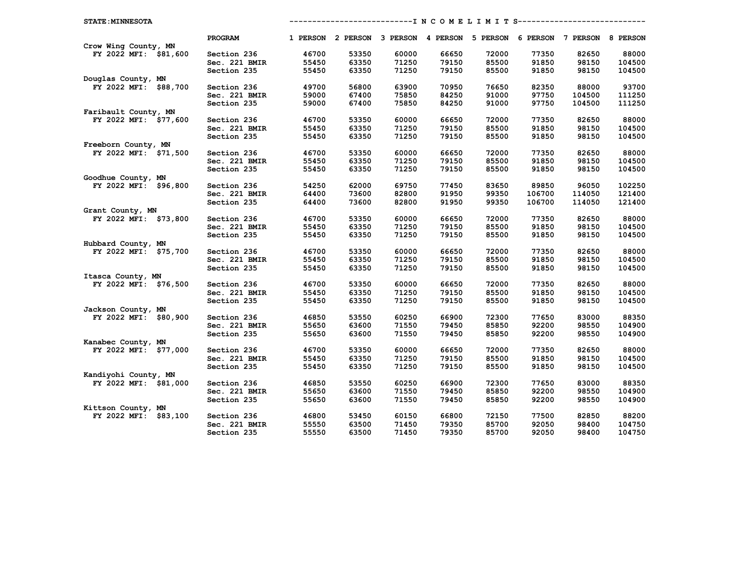| <b>STATE: MINNESOTA</b> |               |       |       |       |       |       |        | ----------------INCOMELIMITS----------------------                      |        |
|-------------------------|---------------|-------|-------|-------|-------|-------|--------|-------------------------------------------------------------------------|--------|
|                         | PROGRAM       |       |       |       |       |       |        | 1 PERSON 2 PERSON 3 PERSON 4 PERSON 5 PERSON 6 PERSON 7 PERSON 8 PERSON |        |
| Crow Wing County, MN    |               |       |       |       |       |       |        |                                                                         |        |
| FY 2022 MFI: \$81,600   | Section 236   | 46700 | 53350 | 60000 | 66650 | 72000 | 77350  | 82650                                                                   | 88000  |
|                         | Sec. 221 BMIR | 55450 | 63350 | 71250 | 79150 | 85500 | 91850  | 98150                                                                   | 104500 |
|                         | Section 235   | 55450 | 63350 | 71250 | 79150 | 85500 | 91850  | 98150                                                                   | 104500 |
| Douglas County, MN      |               |       |       |       |       |       |        |                                                                         |        |
| FY 2022 MFI: \$88,700   | Section 236   | 49700 | 56800 | 63900 | 70950 | 76650 | 82350  | 88000                                                                   | 93700  |
|                         | Sec. 221 BMIR | 59000 | 67400 | 75850 | 84250 | 91000 | 97750  | 104500                                                                  | 111250 |
|                         | Section 235   | 59000 | 67400 | 75850 | 84250 | 91000 | 97750  | 104500                                                                  | 111250 |
| Faribault County, MN    |               |       |       |       |       |       |        |                                                                         |        |
| FY 2022 MFI: \$77,600   | Section 236   | 46700 | 53350 | 60000 | 66650 | 72000 | 77350  | 82650                                                                   | 88000  |
|                         | Sec. 221 BMIR | 55450 | 63350 | 71250 | 79150 | 85500 | 91850  | 98150                                                                   | 104500 |
|                         | Section 235   | 55450 | 63350 | 71250 | 79150 | 85500 | 91850  | 98150                                                                   | 104500 |
| Freeborn County, MN     |               |       |       |       |       |       |        |                                                                         |        |
| FY 2022 MFI: \$71,500   | Section 236   | 46700 | 53350 | 60000 | 66650 | 72000 | 77350  | 82650                                                                   | 88000  |
|                         | Sec. 221 BMIR | 55450 | 63350 | 71250 | 79150 | 85500 | 91850  | 98150                                                                   | 104500 |
|                         | Section 235   | 55450 | 63350 | 71250 | 79150 | 85500 | 91850  | 98150                                                                   | 104500 |
| Goodhue County, MN      |               |       |       |       |       |       |        |                                                                         |        |
| FY 2022 MFI: \$96,800   | Section 236   | 54250 | 62000 | 69750 | 77450 | 83650 | 89850  | 96050                                                                   | 102250 |
|                         | Sec. 221 BMIR | 64400 | 73600 | 82800 | 91950 | 99350 | 106700 | 114050                                                                  | 121400 |
|                         | Section 235   | 64400 | 73600 | 82800 | 91950 | 99350 | 106700 | 114050                                                                  | 121400 |
| Grant County, MN        |               |       |       |       |       |       |        |                                                                         |        |
| FY 2022 MFI: \$73,800   | Section 236   | 46700 | 53350 | 60000 | 66650 | 72000 | 77350  | 82650                                                                   | 88000  |
|                         | Sec. 221 BMIR | 55450 | 63350 | 71250 | 79150 | 85500 | 91850  | 98150                                                                   | 104500 |
|                         | Section 235   | 55450 | 63350 | 71250 | 79150 | 85500 | 91850  | 98150                                                                   | 104500 |
| Hubbard County, MN      |               |       |       |       |       |       |        |                                                                         |        |
| FY 2022 MFI: \$75,700   | Section 236   | 46700 | 53350 | 60000 | 66650 | 72000 | 77350  | 82650                                                                   | 88000  |
|                         | Sec. 221 BMIR | 55450 | 63350 | 71250 | 79150 | 85500 | 91850  | 98150                                                                   | 104500 |
|                         | Section 235   | 55450 | 63350 | 71250 | 79150 | 85500 | 91850  | 98150                                                                   | 104500 |
| Itasca County, MN       |               |       |       |       |       |       |        |                                                                         |        |
| FY 2022 MFI: \$76,500   | Section 236   | 46700 | 53350 | 60000 | 66650 | 72000 | 77350  | 82650                                                                   | 88000  |
|                         | Sec. 221 BMIR | 55450 | 63350 | 71250 | 79150 | 85500 | 91850  | 98150                                                                   | 104500 |
|                         | Section 235   | 55450 | 63350 | 71250 | 79150 | 85500 | 91850  | 98150                                                                   | 104500 |
| Jackson County, MN      |               |       |       |       |       |       |        |                                                                         |        |
| FY 2022 MFI: \$80,900   | Section 236   | 46850 | 53550 | 60250 | 66900 | 72300 | 77650  | 83000                                                                   | 88350  |
|                         | Sec. 221 BMIR | 55650 | 63600 | 71550 | 79450 | 85850 | 92200  | 98550                                                                   | 104900 |
|                         | Section 235   | 55650 | 63600 | 71550 | 79450 | 85850 | 92200  | 98550                                                                   | 104900 |
| Kanabec County, MN      |               |       |       |       |       |       |        |                                                                         |        |
| FY 2022 MFI: \$77,000   | Section 236   | 46700 | 53350 | 60000 | 66650 | 72000 | 77350  | 82650                                                                   | 88000  |
|                         | Sec. 221 BMIR | 55450 | 63350 | 71250 | 79150 | 85500 | 91850  | 98150                                                                   | 104500 |
|                         | Section 235   | 55450 | 63350 | 71250 | 79150 | 85500 | 91850  | 98150                                                                   | 104500 |
| Kandiyohi County, MN    |               |       |       |       |       |       |        |                                                                         |        |
| FY 2022 MFI: \$81,000   | Section 236   | 46850 | 53550 | 60250 | 66900 | 72300 | 77650  | 83000                                                                   | 88350  |
|                         | Sec. 221 BMIR | 55650 | 63600 | 71550 | 79450 | 85850 | 92200  | 98550                                                                   | 104900 |
|                         | Section 235   | 55650 | 63600 | 71550 | 79450 | 85850 | 92200  | 98550                                                                   | 104900 |
| Kittson County, MN      |               |       |       |       |       |       |        |                                                                         |        |
| FY 2022 MFI: \$83,100   | Section 236   | 46800 | 53450 | 60150 | 66800 | 72150 | 77500  | 82850                                                                   | 88200  |
|                         | Sec. 221 BMIR | 55550 | 63500 | 71450 | 79350 | 85700 | 92050  | 98400                                                                   | 104750 |
|                         | Section 235   | 55550 | 63500 | 71450 | 79350 | 85700 | 92050  | 98400                                                                   | 104750 |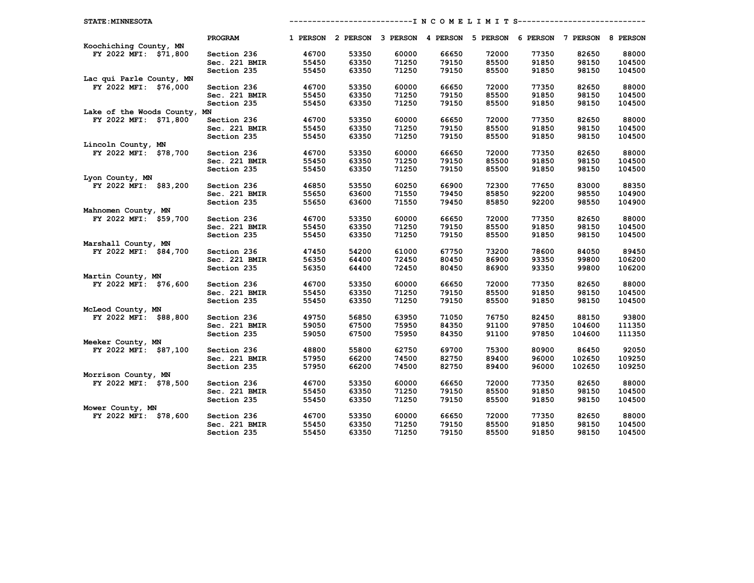| <b>STATE: MINNESOTA</b>                   |               |       |       |       |       | ------------------- N C O M E L I M I T S-----------------------        |       |        |        |
|-------------------------------------------|---------------|-------|-------|-------|-------|-------------------------------------------------------------------------|-------|--------|--------|
|                                           | PROGRAM       |       |       |       |       | 1 PERSON 2 PERSON 3 PERSON 4 PERSON 5 PERSON 6 PERSON 7 PERSON 8 PERSON |       |        |        |
| Koochiching County, MN                    |               |       |       |       |       |                                                                         |       |        |        |
| FY 2022 MFI: \$71,800                     | Section 236   | 46700 | 53350 | 60000 | 66650 | 72000                                                                   | 77350 | 82650  | 88000  |
|                                           | Sec. 221 BMIR | 55450 | 63350 | 71250 | 79150 | 85500                                                                   | 91850 | 98150  | 104500 |
|                                           | Section 235   | 55450 | 63350 | 71250 | 79150 | 85500                                                                   | 91850 | 98150  | 104500 |
| Lac qui Parle County, MN                  |               |       |       |       |       |                                                                         |       |        |        |
| FY 2022 MFI: \$76,000                     | Section 236   | 46700 | 53350 | 60000 | 66650 | 72000                                                                   | 77350 | 82650  | 88000  |
|                                           | Sec. 221 BMIR | 55450 | 63350 | 71250 | 79150 | 85500                                                                   | 91850 | 98150  | 104500 |
|                                           | Section 235   | 55450 | 63350 | 71250 | 79150 | 85500                                                                   | 91850 | 98150  | 104500 |
| Lake of the Woods County, MN              |               |       |       |       |       |                                                                         |       |        |        |
| FY 2022 MFI: \$71,800                     | Section 236   | 46700 | 53350 | 60000 | 66650 | 72000                                                                   | 77350 | 82650  | 88000  |
|                                           | Sec. 221 BMIR | 55450 | 63350 | 71250 | 79150 | 85500                                                                   | 91850 | 98150  | 104500 |
|                                           | Section 235   | 55450 | 63350 | 71250 | 79150 | 85500                                                                   | 91850 | 98150  | 104500 |
| Lincoln County, MN                        |               |       |       |       |       |                                                                         |       |        |        |
| FY 2022 MFI: \$78,700                     | Section 236   | 46700 | 53350 | 60000 | 66650 | 72000                                                                   | 77350 | 82650  | 88000  |
|                                           | Sec. 221 BMIR | 55450 | 63350 | 71250 | 79150 | 85500                                                                   | 91850 | 98150  | 104500 |
|                                           | Section 235   | 55450 | 63350 | 71250 | 79150 | 85500                                                                   | 91850 | 98150  | 104500 |
| Lyon County, MN                           |               |       |       |       |       |                                                                         |       |        |        |
| FY 2022 MFI: \$83,200                     | Section 236   | 46850 | 53550 | 60250 | 66900 | 72300                                                                   | 77650 | 83000  | 88350  |
|                                           | Sec. 221 BMIR | 55650 | 63600 | 71550 | 79450 | 85850                                                                   | 92200 | 98550  | 104900 |
|                                           | Section 235   | 55650 | 63600 | 71550 | 79450 | 85850                                                                   | 92200 | 98550  | 104900 |
| Mahnomen County, MN                       |               |       |       |       |       |                                                                         |       |        |        |
| FY 2022 MFI: \$59,700                     | Section 236   | 46700 | 53350 | 60000 | 66650 | 72000                                                                   | 77350 | 82650  | 88000  |
|                                           | Sec. 221 BMIR | 55450 | 63350 | 71250 | 79150 | 85500                                                                   | 91850 | 98150  | 104500 |
|                                           | Section 235   | 55450 | 63350 | 71250 | 79150 | 85500                                                                   | 91850 | 98150  | 104500 |
| Marshall County, MN                       |               |       |       |       |       |                                                                         |       |        |        |
| FY 2022 MFI: \$84,700                     | Section 236   | 47450 | 54200 | 61000 | 67750 | 73200                                                                   | 78600 | 84050  | 89450  |
|                                           | Sec. 221 BMIR | 56350 | 64400 | 72450 | 80450 | 86900                                                                   | 93350 | 99800  | 106200 |
|                                           | Section 235   | 56350 | 64400 | 72450 | 80450 | 86900                                                                   | 93350 | 99800  | 106200 |
| Martin County, MN                         |               |       |       |       |       |                                                                         |       |        |        |
| FY 2022 MFI: \$76,600                     | Section 236   | 46700 | 53350 | 60000 | 66650 | 72000                                                                   | 77350 | 82650  | 88000  |
|                                           | Sec. 221 BMIR | 55450 | 63350 | 71250 | 79150 | 85500                                                                   | 91850 | 98150  | 104500 |
|                                           | Section 235   | 55450 | 63350 | 71250 | 79150 | 85500                                                                   | 91850 | 98150  | 104500 |
| McLeod County, MN                         |               |       |       |       |       |                                                                         |       |        |        |
| FY 2022 MFI: \$88,800                     | Section 236   | 49750 | 56850 | 63950 | 71050 | 76750                                                                   | 82450 | 88150  | 93800  |
|                                           | Sec. 221 BMIR | 59050 | 67500 | 75950 | 84350 | 91100                                                                   | 97850 | 104600 | 111350 |
|                                           | Section 235   | 59050 | 67500 | 75950 | 84350 | 91100                                                                   | 97850 | 104600 | 111350 |
| Meeker County, MN                         |               |       |       |       |       |                                                                         |       |        |        |
| FY 2022 MFI: \$87,100                     | Section 236   | 48800 | 55800 | 62750 | 69700 | 75300                                                                   | 80900 | 86450  | 92050  |
|                                           | Sec. 221 BMIR | 57950 | 66200 | 74500 | 82750 | 89400                                                                   | 96000 | 102650 | 109250 |
|                                           | Section 235   | 57950 | 66200 | 74500 | 82750 | 89400                                                                   | 96000 | 102650 | 109250 |
| Morrison County, MN                       |               |       |       |       |       |                                                                         |       |        |        |
| FY 2022 MFI: \$78,500                     | Section 236   | 46700 | 53350 | 60000 | 66650 | 72000                                                                   | 77350 | 82650  | 88000  |
|                                           | Sec. 221 BMIR | 55450 | 63350 | 71250 | 79150 | 85500                                                                   | 91850 | 98150  | 104500 |
|                                           | Section 235   | 55450 | 63350 | 71250 | 79150 | 85500                                                                   | 91850 | 98150  | 104500 |
| Mower County, MN<br>FY 2022 MFI: \$78,600 |               | 46700 | 53350 | 60000 | 66650 | 72000                                                                   | 77350 | 82650  | 88000  |
|                                           | Section 236   |       |       |       |       |                                                                         |       |        |        |
|                                           | Sec. 221 BMIR | 55450 | 63350 | 71250 | 79150 | 85500                                                                   | 91850 | 98150  | 104500 |
|                                           | Section 235   | 55450 | 63350 | 71250 | 79150 | 85500                                                                   | 91850 | 98150  | 104500 |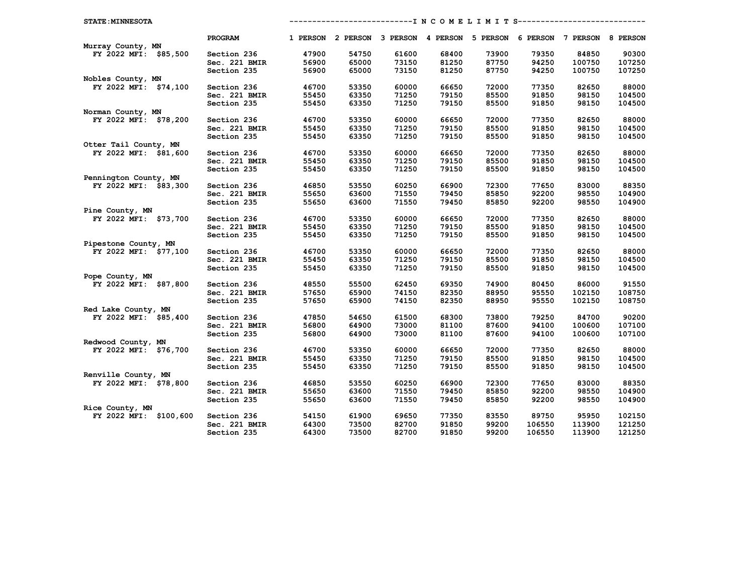| <b>STATE: MINNESOTA</b> |               |       |       |       |       | --------------------- N C O M E L I M I T S----------------------------- |        |        |        |
|-------------------------|---------------|-------|-------|-------|-------|--------------------------------------------------------------------------|--------|--------|--------|
|                         | PROGRAM       |       |       |       |       | 1 PERSON 2 PERSON 3 PERSON 4 PERSON 5 PERSON 6 PERSON 7 PERSON 8 PERSON  |        |        |        |
| Murray County, MN       |               |       |       |       |       |                                                                          |        |        |        |
| FY 2022 MFI: \$85,500   | Section 236   | 47900 | 54750 | 61600 | 68400 | 73900                                                                    | 79350  | 84850  | 90300  |
|                         | Sec. 221 BMIR | 56900 | 65000 | 73150 | 81250 | 87750                                                                    | 94250  | 100750 | 107250 |
|                         | Section 235   | 56900 | 65000 | 73150 | 81250 | 87750                                                                    | 94250  | 100750 | 107250 |
| Nobles County, MN       |               |       |       |       |       |                                                                          |        |        |        |
| FY 2022 MFI: \$74,100   | Section 236   | 46700 | 53350 | 60000 | 66650 | 72000                                                                    | 77350  | 82650  | 88000  |
|                         | Sec. 221 BMIR | 55450 | 63350 | 71250 | 79150 | 85500                                                                    | 91850  | 98150  | 104500 |
|                         | Section 235   | 55450 | 63350 | 71250 | 79150 | 85500                                                                    | 91850  | 98150  | 104500 |
| Norman County, MN       |               |       |       |       |       |                                                                          |        |        |        |
| FY 2022 MFI: \$78,200   | Section 236   | 46700 | 53350 | 60000 | 66650 | 72000                                                                    | 77350  | 82650  | 88000  |
|                         | Sec. 221 BMIR | 55450 | 63350 | 71250 | 79150 | 85500                                                                    | 91850  | 98150  | 104500 |
|                         | Section 235   | 55450 | 63350 | 71250 | 79150 | 85500                                                                    | 91850  | 98150  | 104500 |
| Otter Tail County, MN   |               |       |       |       |       |                                                                          |        |        |        |
| FY 2022 MFI: \$81,600   | Section 236   | 46700 | 53350 | 60000 | 66650 | 72000                                                                    | 77350  | 82650  | 88000  |
|                         | Sec. 221 BMIR | 55450 | 63350 | 71250 | 79150 | 85500                                                                    | 91850  | 98150  | 104500 |
|                         | Section 235   | 55450 | 63350 | 71250 | 79150 | 85500                                                                    | 91850  | 98150  | 104500 |
| Pennington County, MN   |               |       |       |       |       |                                                                          |        |        |        |
| FY 2022 MFI: \$83,300   | Section 236   | 46850 | 53550 | 60250 | 66900 | 72300                                                                    | 77650  | 83000  | 88350  |
|                         | Sec. 221 BMIR | 55650 | 63600 | 71550 | 79450 | 85850                                                                    | 92200  | 98550  | 104900 |
|                         | Section 235   | 55650 | 63600 | 71550 | 79450 | 85850                                                                    | 92200  | 98550  | 104900 |
| Pine County, MN         |               |       |       |       |       |                                                                          |        |        |        |
| FY 2022 MFI: \$73,700   | Section 236   | 46700 | 53350 | 60000 | 66650 | 72000                                                                    | 77350  | 82650  | 88000  |
|                         | Sec. 221 BMIR | 55450 | 63350 | 71250 | 79150 | 85500                                                                    | 91850  | 98150  | 104500 |
|                         | Section 235   | 55450 | 63350 | 71250 | 79150 | 85500                                                                    | 91850  | 98150  | 104500 |
| Pipestone County, MN    |               |       |       |       |       |                                                                          |        |        |        |
| FY 2022 MFI: \$77,100   | Section 236   | 46700 | 53350 | 60000 | 66650 | 72000                                                                    | 77350  | 82650  | 88000  |
|                         | Sec. 221 BMIR | 55450 | 63350 | 71250 | 79150 | 85500                                                                    | 91850  | 98150  | 104500 |
|                         | Section 235   | 55450 | 63350 | 71250 | 79150 | 85500                                                                    | 91850  | 98150  | 104500 |
| Pope County, MN         |               |       |       |       |       |                                                                          |        |        |        |
| FY 2022 MFI: \$87,800   | Section 236   | 48550 | 55500 | 62450 | 69350 | 74900                                                                    | 80450  | 86000  | 91550  |
|                         | Sec. 221 BMIR | 57650 | 65900 | 74150 | 82350 | 88950                                                                    | 95550  | 102150 | 108750 |
|                         | Section 235   | 57650 | 65900 | 74150 | 82350 | 88950                                                                    | 95550  | 102150 | 108750 |
| Red Lake County, MN     |               |       |       |       |       |                                                                          |        |        |        |
| FY 2022 MFI: \$85,400   | Section 236   | 47850 | 54650 | 61500 | 68300 | 73800                                                                    | 79250  | 84700  | 90200  |
|                         | Sec. 221 BMIR | 56800 | 64900 | 73000 | 81100 | 87600                                                                    | 94100  | 100600 | 107100 |
|                         | Section 235   | 56800 | 64900 | 73000 | 81100 | 87600                                                                    | 94100  | 100600 | 107100 |
| Redwood County, MN      |               |       |       |       |       |                                                                          |        |        |        |
| FY 2022 MFI: \$76,700   | Section 236   | 46700 | 53350 | 60000 | 66650 | 72000                                                                    | 77350  | 82650  | 88000  |
|                         | Sec. 221 BMIR | 55450 | 63350 | 71250 | 79150 | 85500                                                                    | 91850  | 98150  | 104500 |
|                         | Section 235   | 55450 | 63350 | 71250 | 79150 | 85500                                                                    | 91850  | 98150  | 104500 |
| Renville County, MN     |               |       |       |       |       |                                                                          |        |        |        |
| FY 2022 MFI: \$78,800   | Section 236   | 46850 | 53550 | 60250 | 66900 | 72300                                                                    | 77650  | 83000  | 88350  |
|                         | Sec. 221 BMIR | 55650 | 63600 | 71550 | 79450 | 85850                                                                    | 92200  | 98550  | 104900 |
|                         | Section 235   | 55650 | 63600 | 71550 | 79450 | 85850                                                                    | 92200  | 98550  | 104900 |
| Rice County, MN         |               |       |       |       |       |                                                                          |        |        |        |
| FY 2022 MFI: \$100,600  | Section 236   | 54150 | 61900 | 69650 | 77350 | 83550                                                                    | 89750  | 95950  | 102150 |
|                         | Sec. 221 BMIR | 64300 | 73500 | 82700 | 91850 | 99200                                                                    | 106550 | 113900 | 121250 |
|                         | Section 235   | 64300 | 73500 | 82700 | 91850 | 99200                                                                    | 106550 | 113900 | 121250 |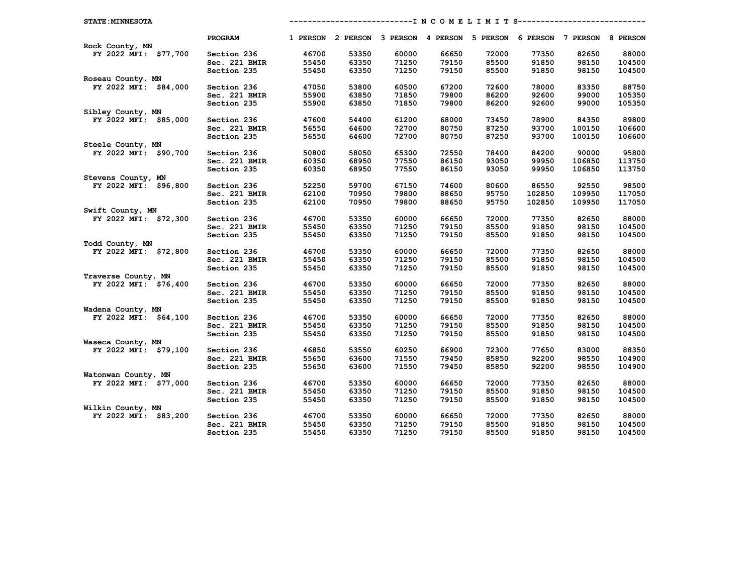| <b>STATE: MINNESOTA</b> |               |       |       |       |       | --------------------- N C O M E L I M I T S----------------------------- |        |        |        |
|-------------------------|---------------|-------|-------|-------|-------|--------------------------------------------------------------------------|--------|--------|--------|
|                         | PROGRAM       |       |       |       |       | 1 PERSON 2 PERSON 3 PERSON 4 PERSON 5 PERSON 6 PERSON 7 PERSON 8 PERSON  |        |        |        |
| Rock County, MN         |               |       |       |       |       |                                                                          |        |        |        |
| FY 2022 MFI: \$77,700   | Section 236   | 46700 | 53350 | 60000 | 66650 | 72000                                                                    | 77350  | 82650  | 88000  |
|                         | Sec. 221 BMIR | 55450 | 63350 | 71250 | 79150 | 85500                                                                    | 91850  | 98150  | 104500 |
|                         | Section 235   | 55450 | 63350 | 71250 | 79150 | 85500                                                                    | 91850  | 98150  | 104500 |
| Roseau County, MN       |               |       |       |       |       |                                                                          |        |        |        |
| FY 2022 MFI: \$84,000   | Section 236   | 47050 | 53800 | 60500 | 67200 | 72600                                                                    | 78000  | 83350  | 88750  |
|                         | Sec. 221 BMIR | 55900 | 63850 | 71850 | 79800 | 86200                                                                    | 92600  | 99000  | 105350 |
|                         | Section 235   | 55900 | 63850 | 71850 | 79800 | 86200                                                                    | 92600  | 99000  | 105350 |
| Sibley County, MN       |               |       |       |       |       |                                                                          |        |        |        |
| FY 2022 MFI: \$85,000   | Section 236   | 47600 | 54400 | 61200 | 68000 | 73450                                                                    | 78900  | 84350  | 89800  |
|                         | Sec. 221 BMIR | 56550 | 64600 | 72700 | 80750 | 87250                                                                    | 93700  | 100150 | 106600 |
|                         | Section 235   | 56550 | 64600 | 72700 | 80750 | 87250                                                                    | 93700  | 100150 | 106600 |
| Steele County, MN       |               |       |       |       |       |                                                                          |        |        |        |
| FY 2022 MFI: \$90,700   | Section 236   | 50800 | 58050 | 65300 | 72550 | 78400                                                                    | 84200  | 90000  | 95800  |
|                         | Sec. 221 BMIR | 60350 | 68950 | 77550 | 86150 | 93050                                                                    | 99950  | 106850 | 113750 |
|                         | Section 235   | 60350 | 68950 | 77550 | 86150 | 93050                                                                    | 99950  | 106850 | 113750 |
| Stevens County, MN      |               |       |       |       |       |                                                                          |        |        |        |
| FY 2022 MFI: \$96,800   | Section 236   | 52250 | 59700 | 67150 | 74600 | 80600                                                                    | 86550  | 92550  | 98500  |
|                         | Sec. 221 BMIR | 62100 | 70950 | 79800 | 88650 | 95750                                                                    | 102850 | 109950 | 117050 |
|                         | Section 235   | 62100 | 70950 | 79800 | 88650 | 95750                                                                    | 102850 | 109950 | 117050 |
| Swift County, MN        |               |       |       |       |       |                                                                          |        |        |        |
| FY 2022 MFI: \$72,300   | Section 236   | 46700 | 53350 | 60000 | 66650 | 72000                                                                    | 77350  | 82650  | 88000  |
|                         | Sec. 221 BMIR | 55450 | 63350 | 71250 | 79150 | 85500                                                                    | 91850  | 98150  | 104500 |
|                         | Section 235   | 55450 | 63350 | 71250 | 79150 | 85500                                                                    | 91850  | 98150  | 104500 |
| Todd County, MN         |               |       |       |       |       |                                                                          |        |        |        |
| FY 2022 MFI: \$72,800   | Section 236   | 46700 | 53350 | 60000 | 66650 | 72000                                                                    | 77350  | 82650  | 88000  |
|                         | Sec. 221 BMIR | 55450 | 63350 | 71250 | 79150 | 85500                                                                    | 91850  | 98150  | 104500 |
|                         | Section 235   | 55450 | 63350 | 71250 | 79150 | 85500                                                                    | 91850  | 98150  | 104500 |
| Traverse County, MN     |               |       |       |       |       |                                                                          |        |        |        |
| FY 2022 MFI: \$76,400   | Section 236   | 46700 | 53350 | 60000 | 66650 | 72000                                                                    | 77350  | 82650  | 88000  |
|                         | Sec. 221 BMIR | 55450 | 63350 | 71250 | 79150 | 85500                                                                    | 91850  | 98150  | 104500 |
|                         | Section 235   | 55450 | 63350 | 71250 | 79150 | 85500                                                                    | 91850  | 98150  | 104500 |
| Wadena County, MN       |               |       |       |       |       |                                                                          |        |        |        |
| FY 2022 MFI: \$64,100   | Section 236   | 46700 | 53350 | 60000 | 66650 | 72000                                                                    | 77350  | 82650  | 88000  |
|                         | Sec. 221 BMIR | 55450 | 63350 | 71250 | 79150 | 85500                                                                    | 91850  | 98150  | 104500 |
|                         | Section 235   | 55450 | 63350 | 71250 | 79150 | 85500                                                                    | 91850  | 98150  | 104500 |
| Waseca County, MN       |               |       |       |       |       |                                                                          |        |        |        |
| FY 2022 MFI: \$79,100   | Section 236   | 46850 | 53550 | 60250 | 66900 | 72300                                                                    | 77650  | 83000  | 88350  |
|                         | Sec. 221 BMIR | 55650 | 63600 | 71550 | 79450 | 85850                                                                    | 92200  | 98550  | 104900 |
|                         | Section 235   | 55650 | 63600 | 71550 | 79450 | 85850                                                                    | 92200  | 98550  | 104900 |
| Watonwan County, MN     |               |       |       |       |       |                                                                          |        |        |        |
| FY 2022 MFI: \$77,000   | Section 236   | 46700 | 53350 | 60000 | 66650 | 72000                                                                    | 77350  | 82650  | 88000  |
|                         | Sec. 221 BMIR | 55450 | 63350 | 71250 | 79150 | 85500                                                                    | 91850  | 98150  | 104500 |
|                         | Section 235   | 55450 | 63350 | 71250 | 79150 | 85500                                                                    | 91850  | 98150  | 104500 |
| Wilkin County, MN       |               |       |       |       |       |                                                                          |        |        |        |
| FY 2022 MFI: \$83,200   | Section 236   | 46700 | 53350 | 60000 | 66650 | 72000                                                                    | 77350  | 82650  | 88000  |
|                         | Sec. 221 BMIR | 55450 | 63350 | 71250 | 79150 | 85500                                                                    | 91850  | 98150  | 104500 |
|                         | Section 235   | 55450 | 63350 | 71250 | 79150 | 85500                                                                    | 91850  | 98150  | 104500 |